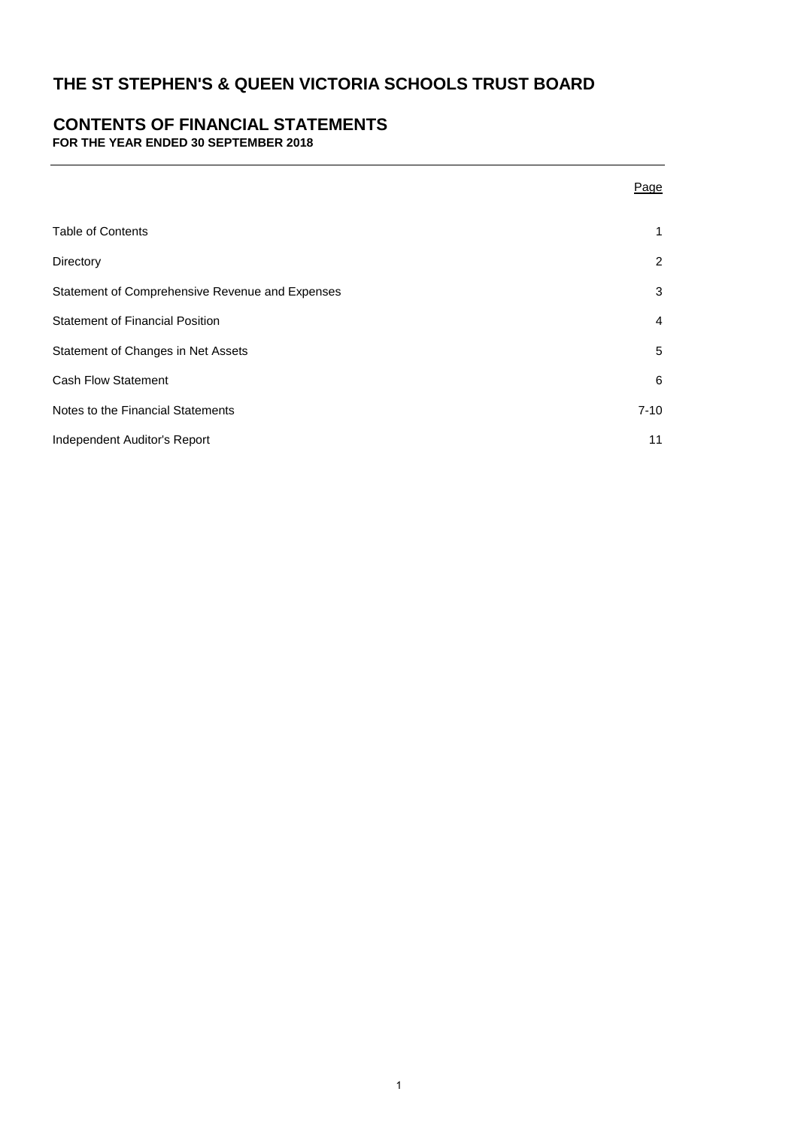# **CONTENTS OF FINANCIAL STATEMENTS**

**FOR THE YEAR ENDED 30 SEPTEMBER 2018**

|                                                 | Page           |
|-------------------------------------------------|----------------|
| <b>Table of Contents</b>                        | 1              |
| Directory                                       | $\overline{2}$ |
| Statement of Comprehensive Revenue and Expenses | 3              |
| <b>Statement of Financial Position</b>          | 4              |
| Statement of Changes in Net Assets              | 5              |
| <b>Cash Flow Statement</b>                      | 6              |
| Notes to the Financial Statements               | $7 - 10$       |
| Independent Auditor's Report                    | 11             |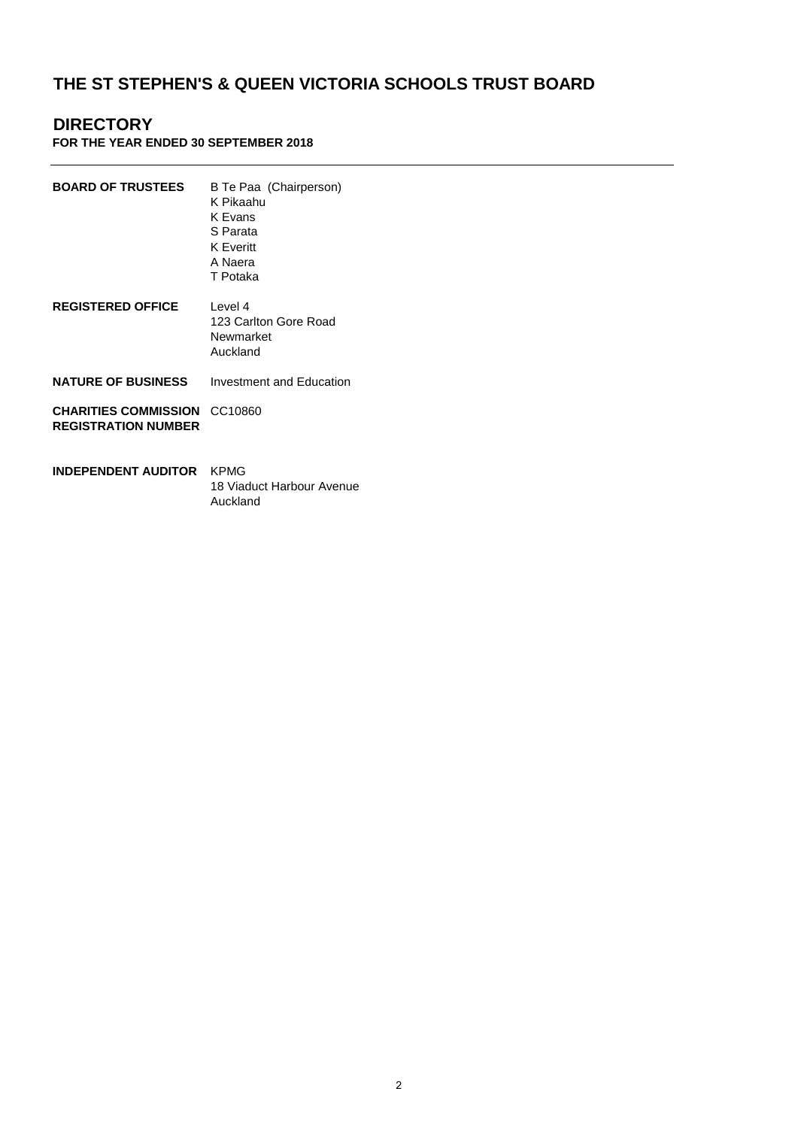# **DIRECTORY**

## **FOR THE YEAR ENDED 30 SEPTEMBER 2018**

| <b>BOARD OF TRUSTEES</b>                                  | B Te Paa (Chairperson)<br>K Pikaahu<br>K Evans<br>S Parata<br><b>K</b> Everitt<br>A Naera<br>T Potaka |
|-----------------------------------------------------------|-------------------------------------------------------------------------------------------------------|
| <b>REGISTERED OFFICE</b>                                  | Level 4<br>123 Carlton Gore Road<br>Newmarket<br>Auckland                                             |
| <b>NATURE OF BUSINESS</b>                                 | Investment and Education                                                                              |
| <b>CHARITIES COMMISSION</b><br><b>REGISTRATION NUMBER</b> | CC10860                                                                                               |
| INDEPENDENT AUDITOR                                       | KPMG<br>18 Viaduct Harbour Avenue                                                                     |

Auckland

2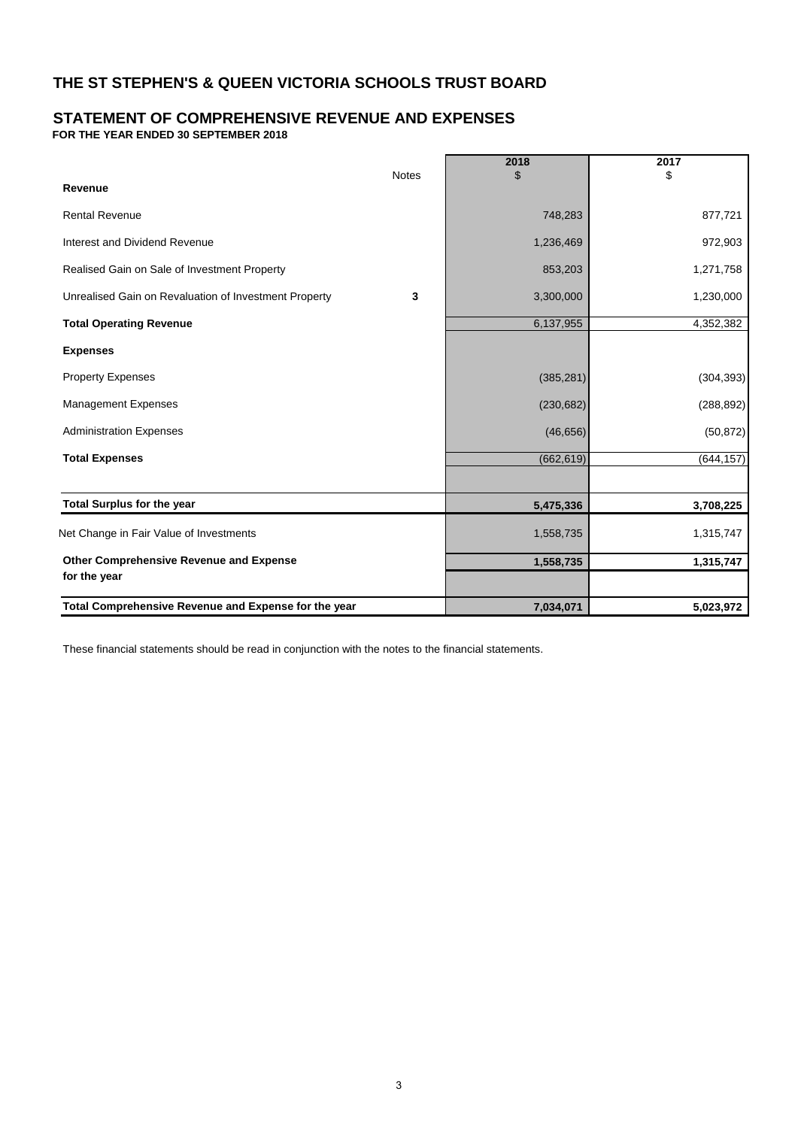# **STATEMENT OF COMPREHENSIVE REVENUE AND EXPENSES**

**FOR THE YEAR ENDED 30 SEPTEMBER 2018**

|                                                       | <b>Notes</b> | 2018       | 2017<br>\$ |
|-------------------------------------------------------|--------------|------------|------------|
| Revenue                                               |              |            |            |
| <b>Rental Revenue</b>                                 |              | 748,283    | 877,721    |
| Interest and Dividend Revenue                         |              | 1,236,469  | 972,903    |
| Realised Gain on Sale of Investment Property          |              | 853,203    | 1,271,758  |
| Unrealised Gain on Revaluation of Investment Property | 3            | 3,300,000  | 1,230,000  |
| <b>Total Operating Revenue</b>                        |              | 6,137,955  | 4,352,382  |
| <b>Expenses</b>                                       |              |            |            |
| <b>Property Expenses</b>                              |              | (385, 281) | (304, 393) |
| <b>Management Expenses</b>                            |              | (230, 682) | (288, 892) |
| <b>Administration Expenses</b>                        |              | (46, 656)  | (50, 872)  |
| <b>Total Expenses</b>                                 |              | (662, 619) | (644, 157) |
|                                                       |              |            |            |
| <b>Total Surplus for the year</b>                     |              | 5,475,336  | 3,708,225  |
| Net Change in Fair Value of Investments               |              | 1,558,735  | 1,315,747  |
| <b>Other Comprehensive Revenue and Expense</b>        |              | 1,558,735  | 1,315,747  |
| for the year                                          |              |            |            |
| Total Comprehensive Revenue and Expense for the year  |              | 7,034,071  | 5,023,972  |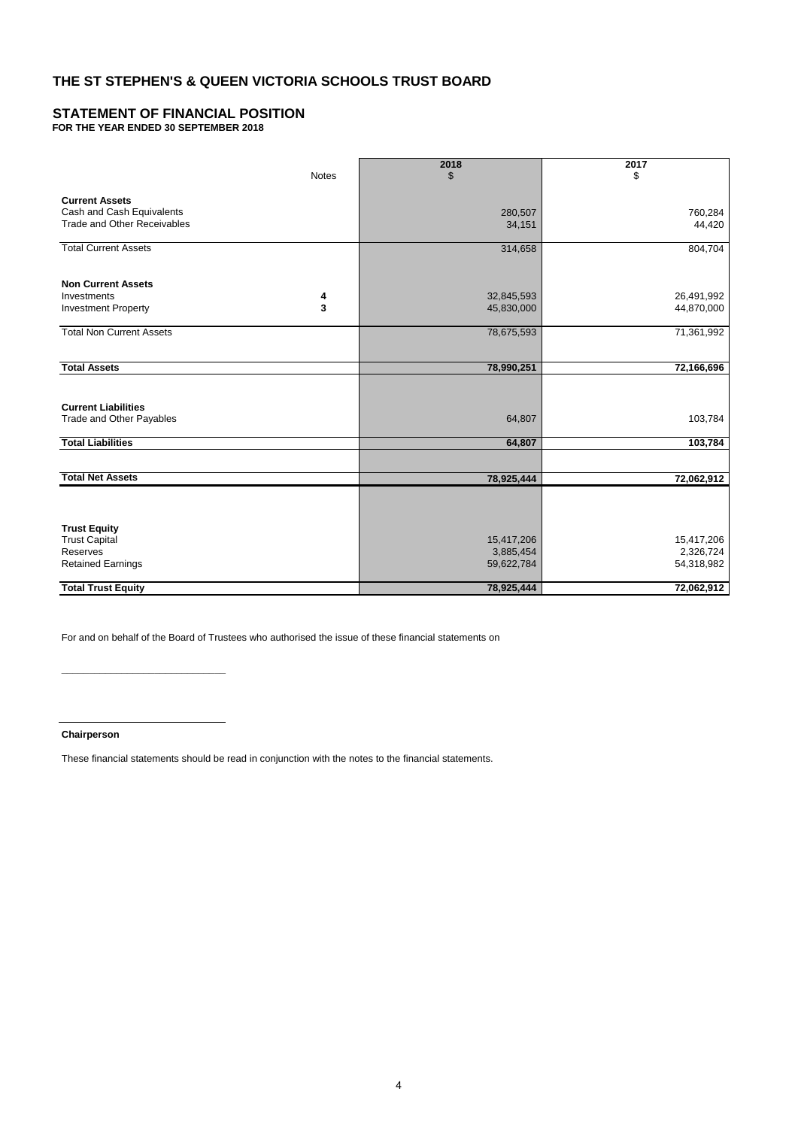# **STATEMENT OF FINANCIAL POSITION**

**FOR THE YEAR ENDED 30 SEPTEMBER 2018**

|                                    |              | 2018       | 2017       |
|------------------------------------|--------------|------------|------------|
|                                    | <b>Notes</b> | \$         | \$         |
| <b>Current Assets</b>              |              |            |            |
| Cash and Cash Equivalents          |              | 280,507    | 760,284    |
| <b>Trade and Other Receivables</b> |              | 34,151     | 44,420     |
|                                    |              |            |            |
| <b>Total Current Assets</b>        |              | 314,658    | 804,704    |
|                                    |              |            |            |
| <b>Non Current Assets</b>          |              |            |            |
| Investments                        | 4            | 32,845,593 | 26,491,992 |
| <b>Investment Property</b>         | 3            | 45,830,000 | 44,870,000 |
|                                    |              |            |            |
| <b>Total Non Current Assets</b>    |              | 78,675,593 | 71,361,992 |
|                                    |              |            |            |
| <b>Total Assets</b>                |              | 78,990,251 | 72,166,696 |
|                                    |              |            |            |
|                                    |              |            |            |
| <b>Current Liabilities</b>         |              |            |            |
| Trade and Other Payables           |              | 64,807     | 103,784    |
| <b>Total Liabilities</b>           |              | 64,807     | 103,784    |
|                                    |              |            |            |
|                                    |              |            |            |
| <b>Total Net Assets</b>            |              | 78,925,444 | 72,062,912 |
|                                    |              |            |            |
|                                    |              |            |            |
| <b>Trust Equity</b>                |              |            |            |
| <b>Trust Capital</b>               |              | 15,417,206 | 15,417,206 |
| Reserves                           |              | 3,885,454  | 2,326,724  |
| <b>Retained Earnings</b>           |              | 59,622,784 | 54,318,982 |
|                                    |              |            |            |
| <b>Total Trust Equity</b>          |              | 78,925,444 | 72,062,912 |

For and on behalf of the Board of Trustees who authorised the issue of these financial statements on

**Chairperson**

**\_\_\_\_\_\_\_\_\_\_\_\_\_\_\_\_\_\_\_\_\_\_\_\_\_\_\_\_\_\_**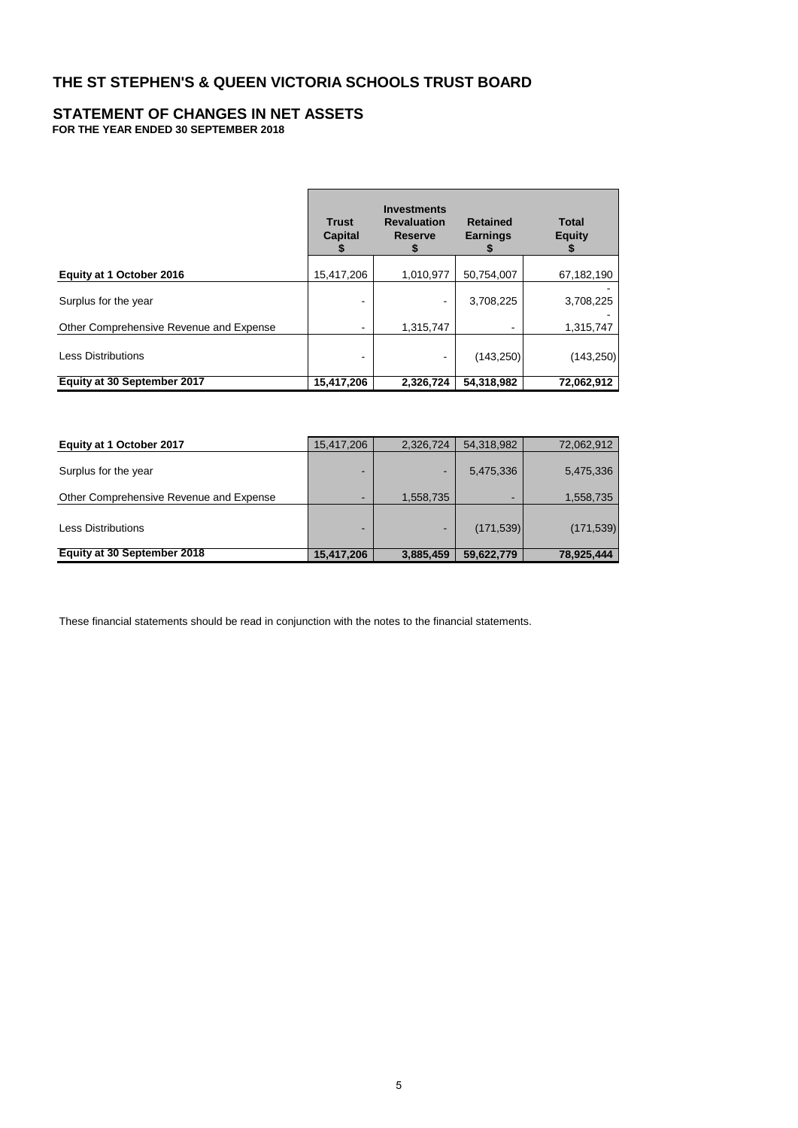#### **STATEMENT OF CHANGES IN NET ASSETS FOR THE YEAR ENDED 30 SEPTEMBER 2018**

|                                         | <b>Trust</b><br>Capital | <b>Investments</b><br><b>Revaluation</b><br><b>Reserve</b><br>S | <b>Retained</b><br><b>Earnings</b><br>Ъ | <b>Total</b><br><b>Equity</b><br>ъ |
|-----------------------------------------|-------------------------|-----------------------------------------------------------------|-----------------------------------------|------------------------------------|
| Equity at 1 October 2016                | 15,417,206              | 1,010,977                                                       | 50,754,007                              | 67,182,190                         |
| Surplus for the year                    |                         |                                                                 | 3,708,225                               | 3,708,225                          |
| Other Comprehensive Revenue and Expense |                         | 1,315,747                                                       |                                         | 1,315,747                          |
| <b>Less Distributions</b>               |                         |                                                                 | (143,250)                               | (143, 250)                         |
| Equity at 30 September 2017             | 15,417,206              | 2,326,724                                                       | 54,318,982                              | 72,062,912                         |

| Equity at 1 October 2017                | 15,417,206 | 2,326,724                | 54,318,982               | 72,062,912 |
|-----------------------------------------|------------|--------------------------|--------------------------|------------|
| Surplus for the year                    |            | $\overline{\phantom{a}}$ | 5,475,336                | 5,475,336  |
| Other Comprehensive Revenue and Expense |            | 1,558,735                | $\overline{\phantom{a}}$ | 1,558,735  |
| <b>Less Distributions</b>               | -          | $\overline{\phantom{a}}$ | (171, 539)               | (171, 539) |
| Equity at 30 September 2018             | 15,417,206 | 3,885,459                | 59,622,779               | 78,925,444 |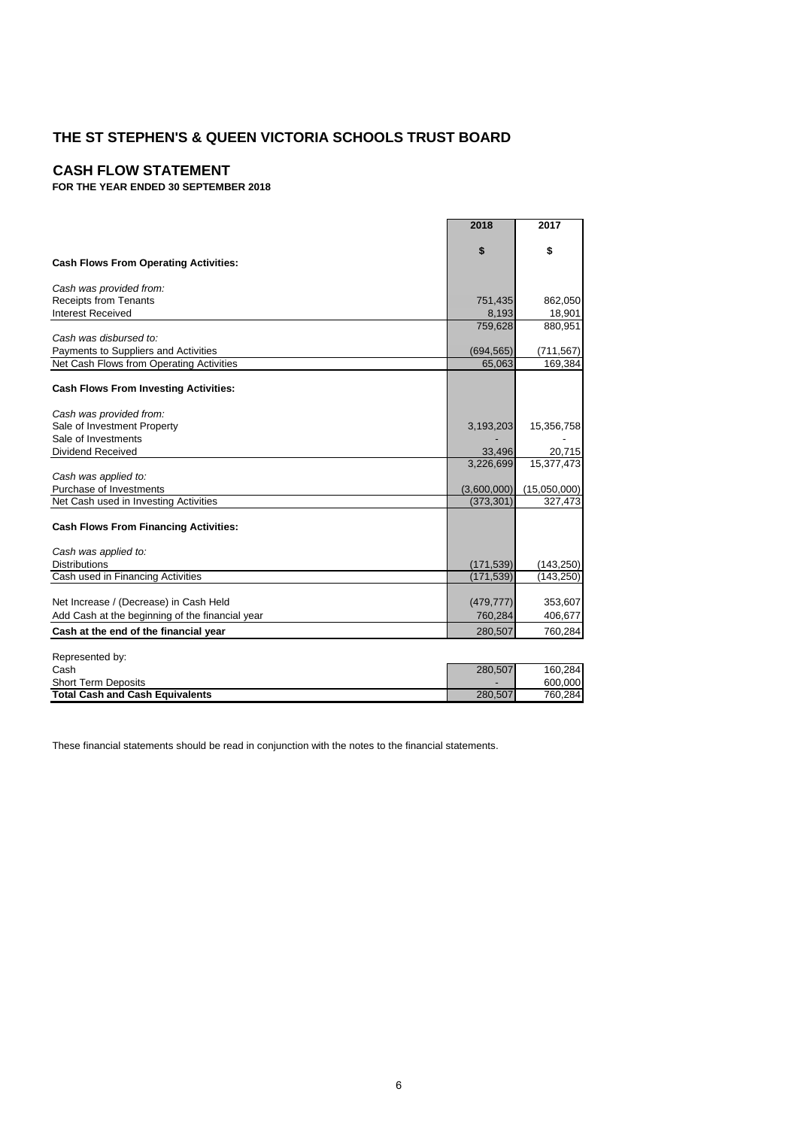# **CASH FLOW STATEMENT**

**FOR THE YEAR ENDED 30 SEPTEMBER 2018**

|                                                 | 2018        | 2017         |
|-------------------------------------------------|-------------|--------------|
|                                                 | \$          | \$           |
| <b>Cash Flows From Operating Activities:</b>    |             |              |
| Cash was provided from:                         |             |              |
| <b>Receipts from Tenants</b>                    | 751,435     | 862,050      |
| <b>Interest Received</b>                        | 8,193       | 18,901       |
|                                                 | 759,628     | 880,951      |
| Cash was disbursed to:                          |             |              |
| Payments to Suppliers and Activities            | (694, 565)  | (711, 567)   |
| Net Cash Flows from Operating Activities        | 65,063      | 169,384      |
| <b>Cash Flows From Investing Activities:</b>    |             |              |
|                                                 |             |              |
| Cash was provided from:                         |             |              |
| Sale of Investment Property                     | 3,193,203   | 15,356,758   |
| Sale of Investments                             |             |              |
| Dividend Received                               | 33,496      | 20,715       |
|                                                 | 3,226,699   | 15,377,473   |
| Cash was applied to:                            |             |              |
| Purchase of Investments                         | (3,600,000) | (15,050,000) |
| Net Cash used in Investing Activities           | (373, 301)  | 327,473      |
| <b>Cash Flows From Financing Activities:</b>    |             |              |
|                                                 |             |              |
| Cash was applied to:                            |             |              |
| <b>Distributions</b>                            | (171, 539)  | (143, 250)   |
| Cash used in Financing Activities               | (171, 539)  | (143, 250)   |
|                                                 |             |              |
| Net Increase / (Decrease) in Cash Held          | (479, 777)  | 353,607      |
| Add Cash at the beginning of the financial year | 760,284     | 406,677      |
| Cash at the end of the financial year           | 280,507     | 760,284      |
|                                                 |             |              |
| Represented by:                                 |             |              |
| Cash                                            | 280,507     | 160,284      |

Short Term Deposits - 600,000 - 600,000 - 600,000 - 600,000 - 600,000 - 600,000 - 600,000 - 600,000 - 600,000 -**Total Cash and Cash Equivalents** 280,507 760,284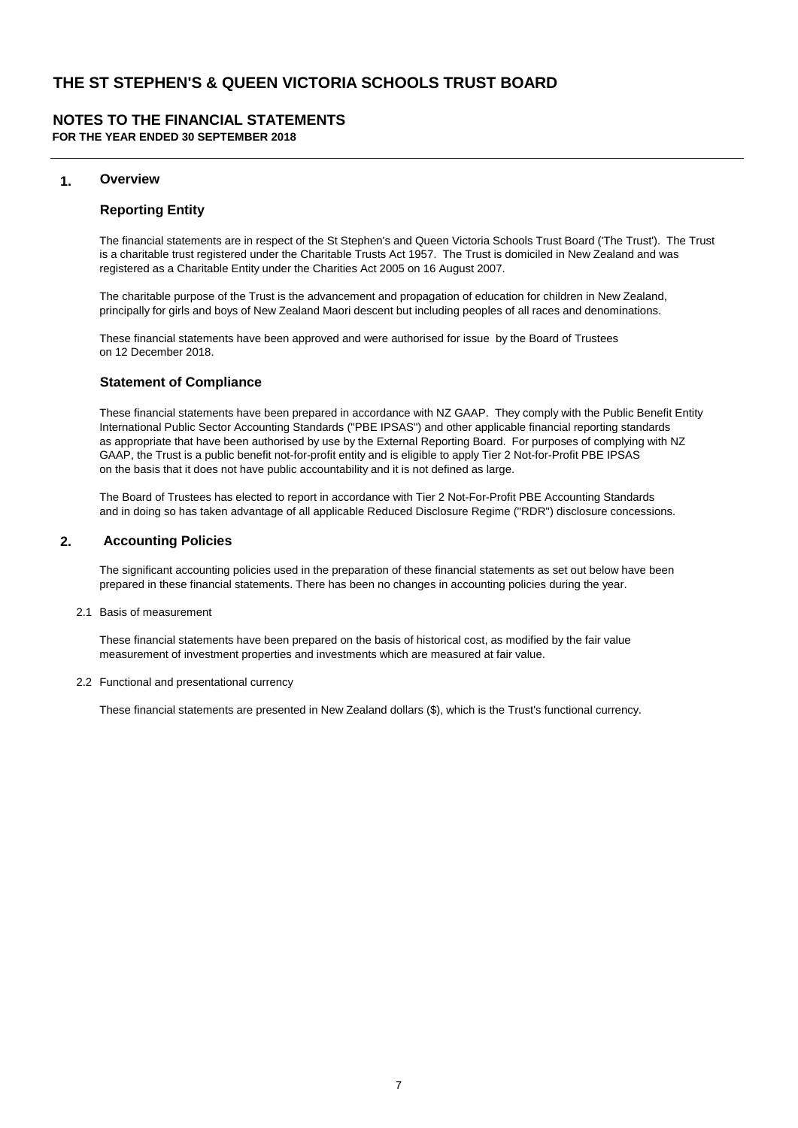# **NOTES TO THE FINANCIAL STATEMENTS**

**FOR THE YEAR ENDED 30 SEPTEMBER 2018**

### **1. Overview**

#### **Reporting Entity**

The financial statements are in respect of the St Stephen's and Queen Victoria Schools Trust Board ('The Trust'). The Trust is a charitable trust registered under the Charitable Trusts Act 1957. The Trust is domiciled in New Zealand and was registered as a Charitable Entity under the Charities Act 2005 on 16 August 2007.

The charitable purpose of the Trust is the advancement and propagation of education for children in New Zealand, principally for girls and boys of New Zealand Maori descent but including peoples of all races and denominations.

These financial statements have been approved and were authorised for issue by the Board of Trustees on 12 December 2018.

#### **Statement of Compliance**

These financial statements have been prepared in accordance with NZ GAAP. They comply with the Public Benefit Entity International Public Sector Accounting Standards ("PBE IPSAS") and other applicable financial reporting standards as appropriate that have been authorised by use by the External Reporting Board. For purposes of complying with NZ GAAP, the Trust is a public benefit not-for-profit entity and is eligible to apply Tier 2 Not-for-Profit PBE IPSAS on the basis that it does not have public accountability and it is not defined as large.

The Board of Trustees has elected to report in accordance with Tier 2 Not-For-Profit PBE Accounting Standards and in doing so has taken advantage of all applicable Reduced Disclosure Regime ("RDR") disclosure concessions.

### **2. Accounting Policies**

The significant accounting policies used in the preparation of these financial statements as set out below have been prepared in these financial statements. There has been no changes in accounting policies during the year.

2.1 Basis of measurement

These financial statements have been prepared on the basis of historical cost, as modified by the fair value measurement of investment properties and investments which are measured at fair value.

2.2 Functional and presentational currency

These financial statements are presented in New Zealand dollars (\$), which is the Trust's functional currency.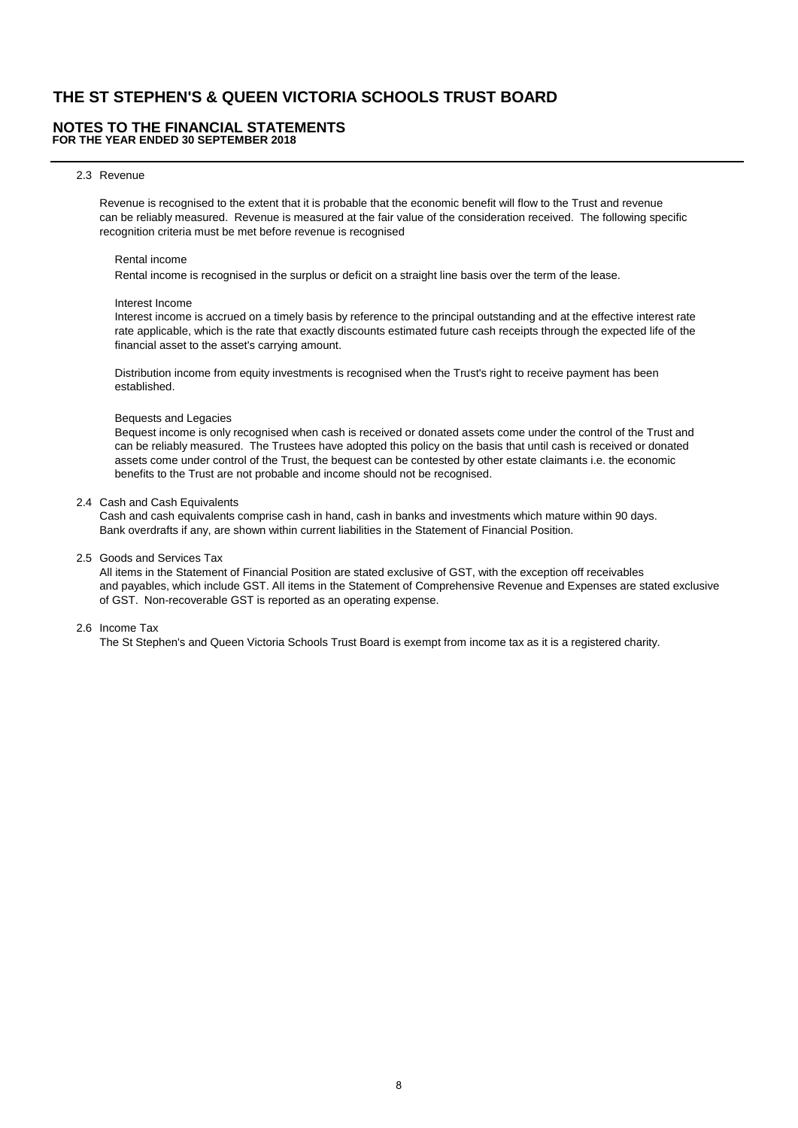#### **NOTES TO THE FINANCIAL STATEMENTS FOR THE YEAR ENDED 30 SEPTEMBER 2018**

#### 2.3 Revenue

Revenue is recognised to the extent that it is probable that the economic benefit will flow to the Trust and revenue can be reliably measured. Revenue is measured at the fair value of the consideration received. The following specific recognition criteria must be met before revenue is recognised

#### Rental income

Rental income is recognised in the surplus or deficit on a straight line basis over the term of the lease.

#### Interest Income

 Interest income is accrued on a timely basis by reference to the principal outstanding and at the effective interest rate rate applicable, which is the rate that exactly discounts estimated future cash receipts through the expected life of the financial asset to the asset's carrying amount.

 Distribution income from equity investments is recognised when the Trust's right to receive payment has been established.

#### Bequests and Legacies

 Bequest income is only recognised when cash is received or donated assets come under the control of the Trust and can be reliably measured. The Trustees have adopted this policy on the basis that until cash is received or donated assets come under control of the Trust, the bequest can be contested by other estate claimants i.e. the economic benefits to the Trust are not probable and income should not be recognised.

#### 2.4 Cash and Cash Equivalents

Cash and cash equivalents comprise cash in hand, cash in banks and investments which mature within 90 days. Bank overdrafts if any, are shown within current liabilities in the Statement of Financial Position.

2.5 Goods and Services Tax

All items in the Statement of Financial Position are stated exclusive of GST, with the exception off receivables and payables, which include GST. All items in the Statement of Comprehensive Revenue and Expenses are stated exclusive of GST. Non-recoverable GST is reported as an operating expense.

#### 2.6 Income Tax

The St Stephen's and Queen Victoria Schools Trust Board is exempt from income tax as it is a registered charity.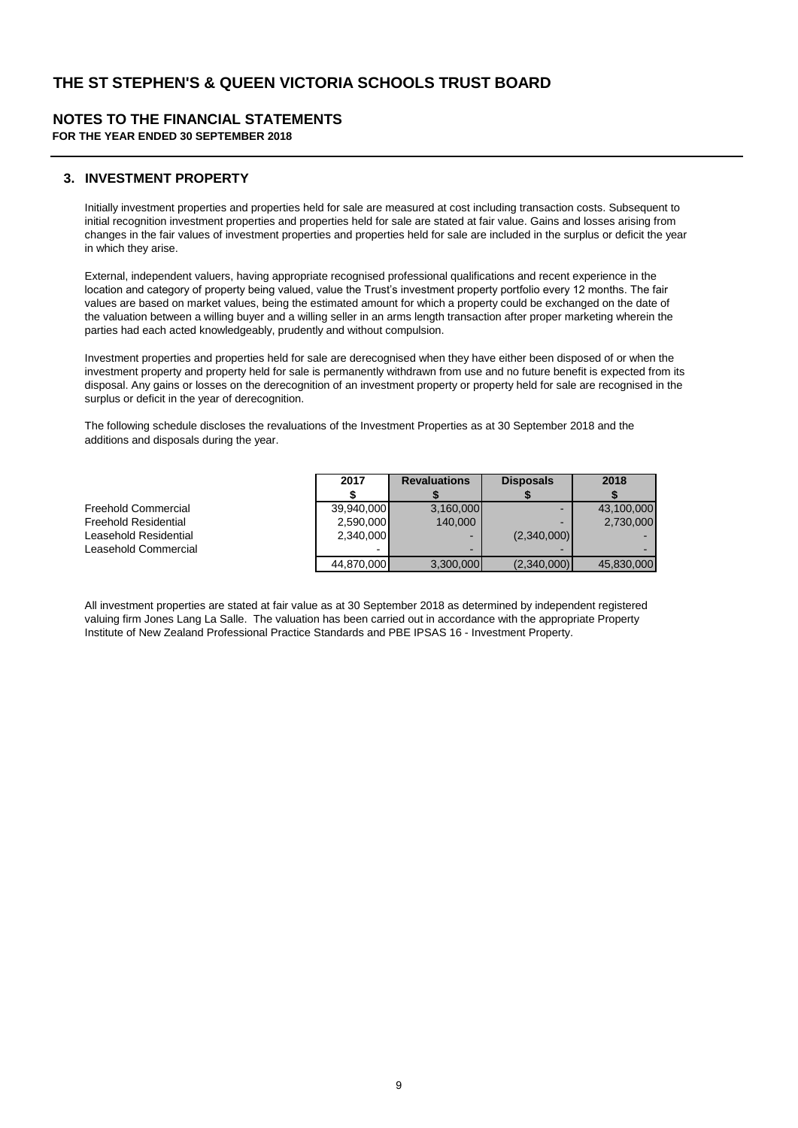# **NOTES TO THE FINANCIAL STATEMENTS**

**FOR THE YEAR ENDED 30 SEPTEMBER 2018**

### **3. INVESTMENT PROPERTY**

Initially investment properties and properties held for sale are measured at cost including transaction costs. Subsequent to initial recognition investment properties and properties held for sale are stated at fair value. Gains and losses arising from changes in the fair values of investment properties and properties held for sale are included in the surplus or deficit the year in which they arise.

External, independent valuers, having appropriate recognised professional qualifications and recent experience in the location and category of property being valued, value the Trust's investment property portfolio every 12 months. The fair values are based on market values, being the estimated amount for which a property could be exchanged on the date of the valuation between a willing buyer and a willing seller in an arms length transaction after proper marketing wherein the parties had each acted knowledgeably, prudently and without compulsion.

Investment properties and properties held for sale are derecognised when they have either been disposed of or when the investment property and property held for sale is permanently withdrawn from use and no future benefit is expected from its disposal. Any gains or losses on the derecognition of an investment property or property held for sale are recognised in the surplus or deficit in the year of derecognition.

The following schedule discloses the revaluations of the Investment Properties as at 30 September 2018 and the additions and disposals during the year.

|                             | 2017       | <b>Revaluations</b> | <b>Disposals</b>         | 2018       |
|-----------------------------|------------|---------------------|--------------------------|------------|
|                             |            |                     |                          |            |
| Freehold Commercial         | 39.940.000 | 3,160,000           | $\overline{\phantom{0}}$ | 43,100,000 |
| <b>Freehold Residential</b> | 2,590,000  | 140,000             |                          | 2,730,000  |
| Leasehold Residential       | 2,340,000  | -                   | (2,340,000)              |            |
| Leasehold Commercial        | -          | -                   |                          |            |
|                             | 44,870,000 | 3,300,000           | (2,340,000)              | 45,830,000 |

All investment properties are stated at fair value as at 30 September 2018 as determined by independent registered valuing firm Jones Lang La Salle. The valuation has been carried out in accordance with the appropriate Property Institute of New Zealand Professional Practice Standards and PBE IPSAS 16 - Investment Property.